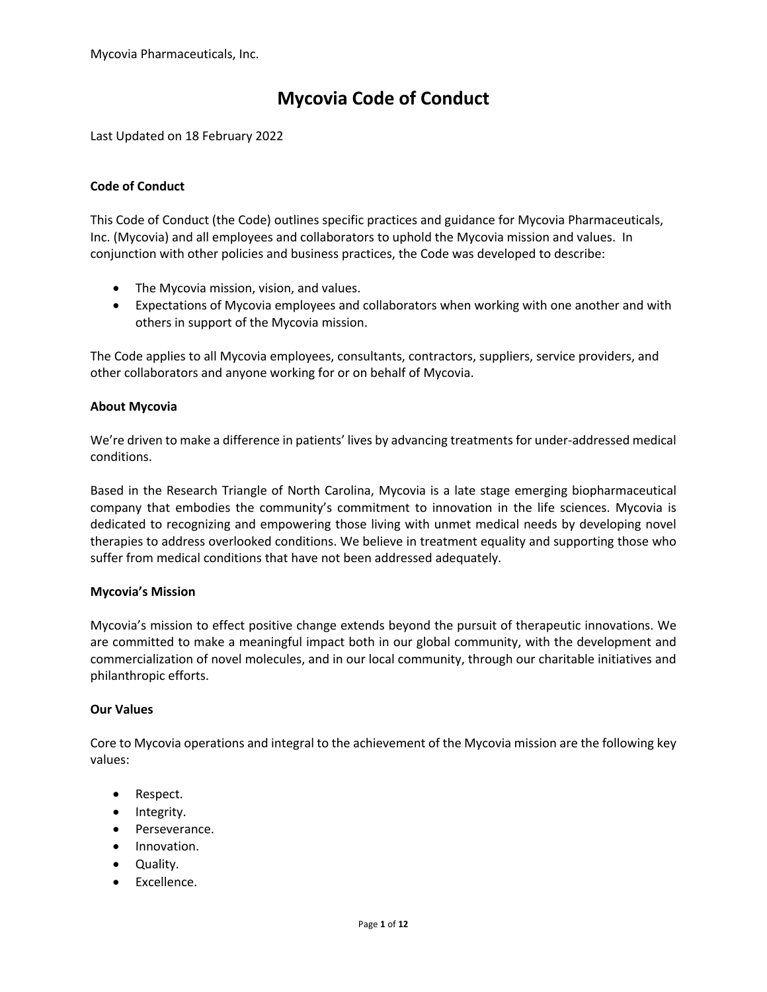# **Mycovia Code of Conduct**

Last Updated on 18 February 2022

## **Code of Conduct**

This Code of Conduct (the Code) outlines specific practices and guidance for Mycovia Pharmaceuticals, Inc. (Mycovia) and all employees and collaborators to uphold the Mycovia mission and values. In conjunction with other policies and business practices, the Code was developed to describe:

- The Mycovia mission, vision, and values.
- Expectations of Mycovia employees and collaborators when working with one another and with others in support of the Mycovia mission.

The Code applies to all Mycovia employees, consultants, contractors, suppliers, service providers, and other collaborators and anyone working for or on behalf of Mycovia.

## **About Mycovia**

We're driven to make a difference in patients' lives by advancing treatments for under-addressed medical conditions.

Based in the Research Triangle of North Carolina, Mycovia is a late stage emerging biopharmaceutical company that embodies the community's commitment to innovation in the life sciences. Mycovia is dedicated to recognizing and empowering those living with unmet medical needs by developing novel therapies to address overlooked conditions. We believe in treatment equality and supporting those who suffer from medical conditions that have not been addressed adequately.

## **Mycovia's Mission**

Mycovia's mission to effect positive change extends beyond the pursuit of therapeutic innovations. We are committed to make a meaningful impact both in our global community, with the development and commercialization of novel molecules, and in our local community, through our charitable initiatives and philanthropic efforts.

## **Our Values**

Core to Mycovia operations and integral to the achievement of the Mycovia mission are the following key values:

- Respect.
- Integrity.
- Perseverance.
- Innovation.
- Quality.
- Excellence.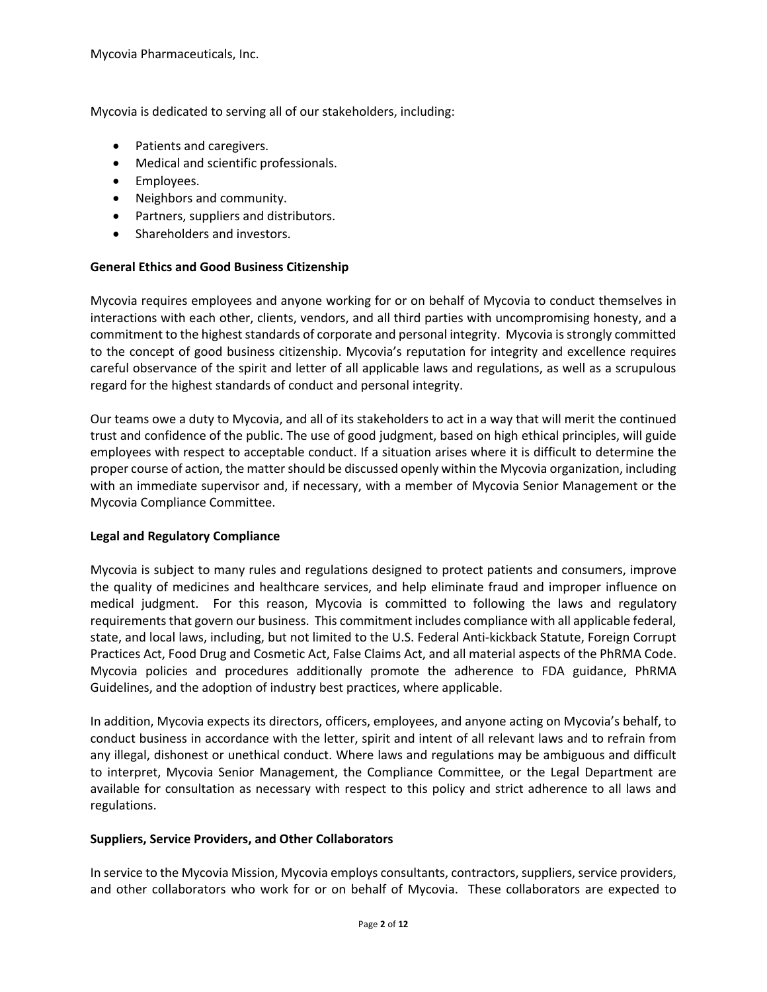Mycovia is dedicated to serving all of our stakeholders, including:

- Patients and caregivers.
- Medical and scientific professionals.
- Employees.
- Neighbors and community.
- Partners, suppliers and distributors.
- Shareholders and investors.

## **General Ethics and Good Business Citizenship**

Mycovia requires employees and anyone working for or on behalf of Mycovia to conduct themselves in interactions with each other, clients, vendors, and all third parties with uncompromising honesty, and a commitment to the highest standards of corporate and personal integrity. Mycovia is strongly committed to the concept of good business citizenship. Mycovia's reputation for integrity and excellence requires careful observance of the spirit and letter of all applicable laws and regulations, as well as a scrupulous regard for the highest standards of conduct and personal integrity.

Our teams owe a duty to Mycovia, and all of its stakeholders to act in a way that will merit the continued trust and confidence of the public. The use of good judgment, based on high ethical principles, will guide employees with respect to acceptable conduct. If a situation arises where it is difficult to determine the proper course of action, the matter should be discussed openly within the Mycovia organization, including with an immediate supervisor and, if necessary, with a member of Mycovia Senior Management or the Mycovia Compliance Committee.

## **Legal and Regulatory Compliance**

Mycovia is subject to many rules and regulations designed to protect patients and consumers, improve the quality of medicines and healthcare services, and help eliminate fraud and improper influence on medical judgment. For this reason, Mycovia is committed to following the laws and regulatory requirements that govern our business. This commitment includes compliance with all applicable federal, state, and local laws, including, but not limited to the U.S. Federal Anti-kickback Statute, Foreign Corrupt Practices Act, Food Drug and Cosmetic Act, False Claims Act, and all material aspects of the PhRMA Code. Mycovia policies and procedures additionally promote the adherence to FDA guidance, PhRMA Guidelines, and the adoption of industry best practices, where applicable.

In addition, Mycovia expects its directors, officers, employees, and anyone acting on Mycovia's behalf, to conduct business in accordance with the letter, spirit and intent of all relevant laws and to refrain from any illegal, dishonest or unethical conduct. Where laws and regulations may be ambiguous and difficult to interpret, Mycovia Senior Management, the Compliance Committee, or the Legal Department are available for consultation as necessary with respect to this policy and strict adherence to all laws and regulations.

## **Suppliers, Service Providers, and Other Collaborators**

In service to the Mycovia Mission, Mycovia employs consultants, contractors, suppliers, service providers, and other collaborators who work for or on behalf of Mycovia. These collaborators are expected to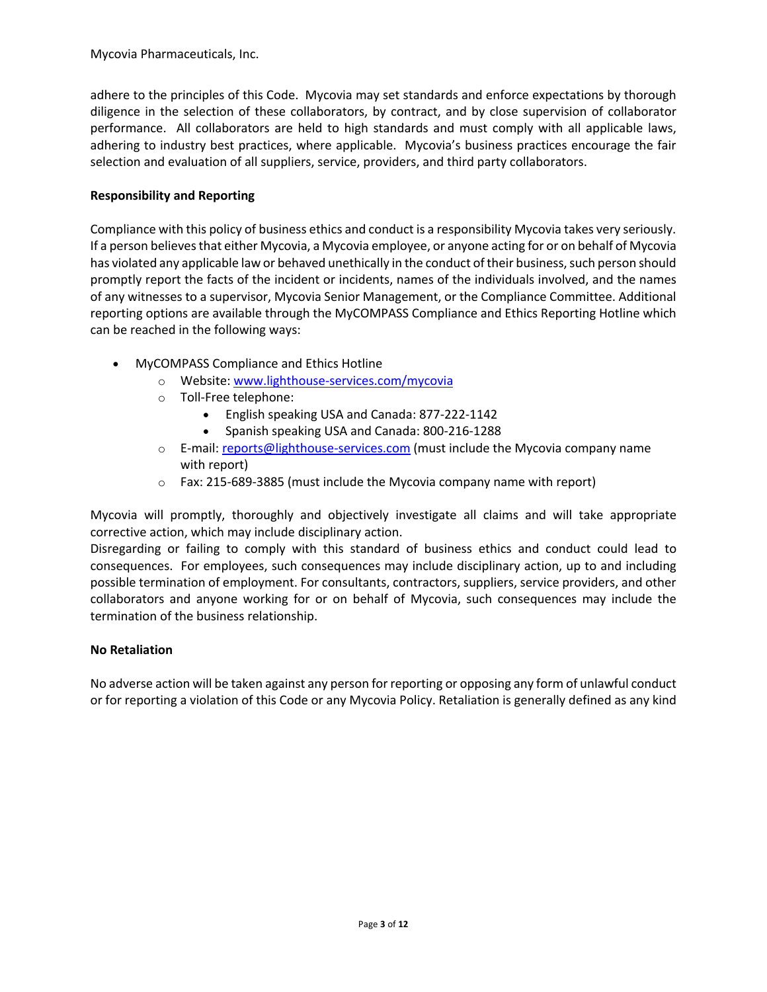adhere to the principles of this Code. Mycovia may set standards and enforce expectations by thorough diligence in the selection of these collaborators, by contract, and by close supervision of collaborator performance. All collaborators are held to high standards and must comply with all applicable laws, adhering to industry best practices, where applicable. Mycovia's business practices encourage the fair selection and evaluation of all suppliers, service, providers, and third party collaborators.

## **Responsibility and Reporting**

Compliance with this policy of business ethics and conduct is a responsibility Mycovia takes very seriously. If a person believes that either Mycovia, a Mycovia employee, or anyone acting for or on behalf of Mycovia has violated any applicable law or behaved unethically in the conduct of their business, such person should promptly report the facts of the incident or incidents, names of the individuals involved, and the names of any witnesses to a supervisor, Mycovia Senior Management, or the Compliance Committee. Additional reporting options are available through the MyCOMPASS Compliance and Ethics Reporting Hotline which can be reached in the following ways:

- MyCOMPASS Compliance and Ethics Hotline
	- o Website: www.lighthouse-services.com/mycovia
	- o Toll-Free telephone:
		- English speaking USA and Canada: 877-222-1142
		- Spanish speaking USA and Canada: 800-216-1288
	- o E-mail: reports@lighthouse-services.com (must include the Mycovia company name with report)
	- o Fax: 215-689-3885 (must include the Mycovia company name with report)

Mycovia will promptly, thoroughly and objectively investigate all claims and will take appropriate corrective action, which may include disciplinary action.

Disregarding or failing to comply with this standard of business ethics and conduct could lead to consequences. For employees, such consequences may include disciplinary action, up to and including possible termination of employment. For consultants, contractors, suppliers, service providers, and other collaborators and anyone working for or on behalf of Mycovia, such consequences may include the termination of the business relationship.

## **No Retaliation**

No adverse action will be taken against any person for reporting or opposing any form of unlawful conduct or for reporting a violation of this Code or any Mycovia Policy. Retaliation is generally defined as any kind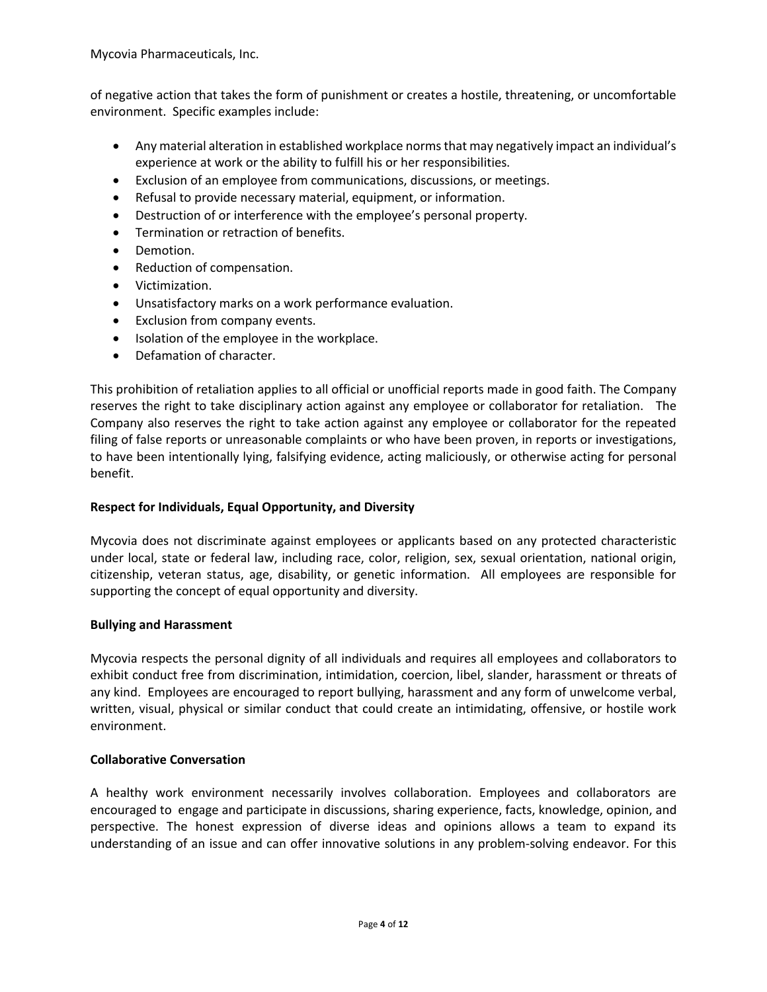of negative action that takes the form of punishment or creates a hostile, threatening, or uncomfortable environment. Specific examples include:

- Any material alteration in established workplace norms that may negatively impact an individual's experience at work or the ability to fulfill his or her responsibilities.
- Exclusion of an employee from communications, discussions, or meetings.
- Refusal to provide necessary material, equipment, or information.
- Destruction of or interference with the employee's personal property.
- Termination or retraction of benefits.
- Demotion.
- Reduction of compensation.
- Victimization.
- Unsatisfactory marks on a work performance evaluation.
- Exclusion from company events.
- Isolation of the employee in the workplace.
- Defamation of character.

This prohibition of retaliation applies to all official or unofficial reports made in good faith. The Company reserves the right to take disciplinary action against any employee or collaborator for retaliation. The Company also reserves the right to take action against any employee or collaborator for the repeated filing of false reports or unreasonable complaints or who have been proven, in reports or investigations, to have been intentionally lying, falsifying evidence, acting maliciously, or otherwise acting for personal benefit.

## **Respect for Individuals, Equal Opportunity, and Diversity**

Mycovia does not discriminate against employees or applicants based on any protected characteristic under local, state or federal law, including race, color, religion, sex, sexual orientation, national origin, citizenship, veteran status, age, disability, or genetic information. All employees are responsible for supporting the concept of equal opportunity and diversity.

## **Bullying and Harassment**

Mycovia respects the personal dignity of all individuals and requires all employees and collaborators to exhibit conduct free from discrimination, intimidation, coercion, libel, slander, harassment or threats of any kind. Employees are encouraged to report bullying, harassment and any form of unwelcome verbal, written, visual, physical or similar conduct that could create an intimidating, offensive, or hostile work environment.

# **Collaborative Conversation**

A healthy work environment necessarily involves collaboration. Employees and collaborators are encouraged to engage and participate in discussions, sharing experience, facts, knowledge, opinion, and perspective. The honest expression of diverse ideas and opinions allows a team to expand its understanding of an issue and can offer innovative solutions in any problem-solving endeavor. For this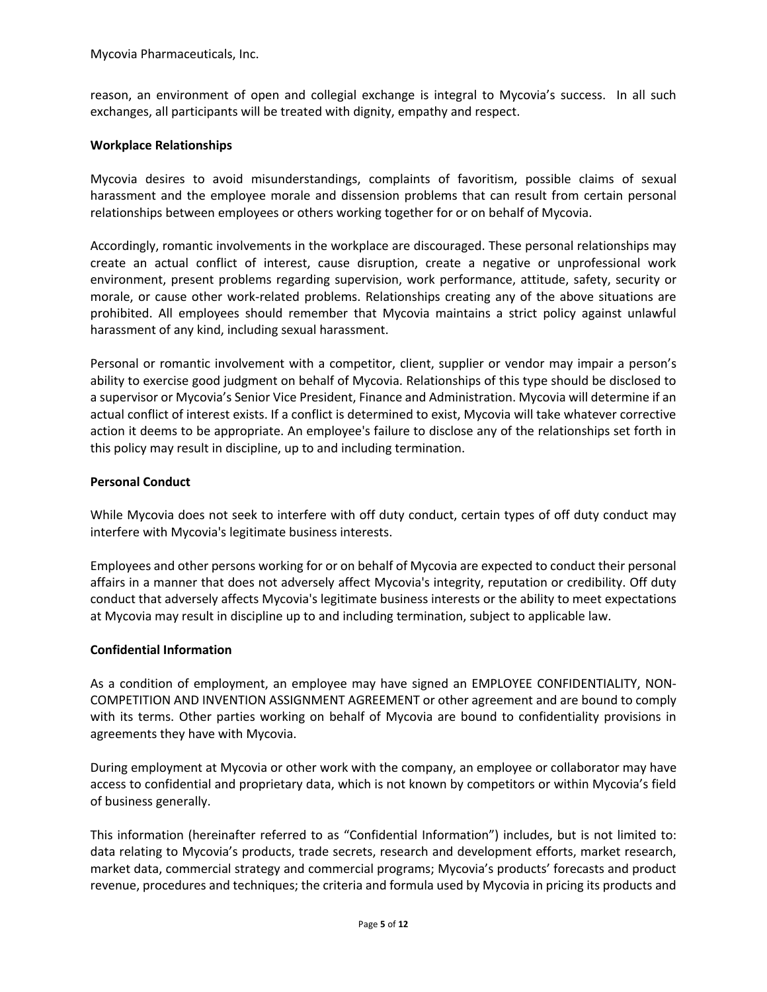reason, an environment of open and collegial exchange is integral to Mycovia's success. In all such exchanges, all participants will be treated with dignity, empathy and respect.

## **Workplace Relationships**

Mycovia desires to avoid misunderstandings, complaints of favoritism, possible claims of sexual harassment and the employee morale and dissension problems that can result from certain personal relationships between employees or others working together for or on behalf of Mycovia.

Accordingly, romantic involvements in the workplace are discouraged. These personal relationships may create an actual conflict of interest, cause disruption, create a negative or unprofessional work environment, present problems regarding supervision, work performance, attitude, safety, security or morale, or cause other work-related problems. Relationships creating any of the above situations are prohibited. All employees should remember that Mycovia maintains a strict policy against unlawful harassment of any kind, including sexual harassment.

Personal or romantic involvement with a competitor, client, supplier or vendor may impair a person's ability to exercise good judgment on behalf of Mycovia. Relationships of this type should be disclosed to a supervisor or Mycovia's Senior Vice President, Finance and Administration. Mycovia will determine if an actual conflict of interest exists. If a conflict is determined to exist, Mycovia will take whatever corrective action it deems to be appropriate. An employee's failure to disclose any of the relationships set forth in this policy may result in discipline, up to and including termination.

## **Personal Conduct**

While Mycovia does not seek to interfere with off duty conduct, certain types of off duty conduct may interfere with Mycovia's legitimate business interests.

Employees and other persons working for or on behalf of Mycovia are expected to conduct their personal affairs in a manner that does not adversely affect Mycovia's integrity, reputation or credibility. Off duty conduct that adversely affects Mycovia's legitimate business interests or the ability to meet expectations at Mycovia may result in discipline up to and including termination, subject to applicable law.

## **Confidential Information**

As a condition of employment, an employee may have signed an EMPLOYEE CONFIDENTIALITY, NON-COMPETITION AND INVENTION ASSIGNMENT AGREEMENT or other agreement and are bound to comply with its terms. Other parties working on behalf of Mycovia are bound to confidentiality provisions in agreements they have with Mycovia.

During employment at Mycovia or other work with the company, an employee or collaborator may have access to confidential and proprietary data, which is not known by competitors or within Mycovia's field of business generally.

This information (hereinafter referred to as "Confidential Information") includes, but is not limited to: data relating to Mycovia's products, trade secrets, research and development efforts, market research, market data, commercial strategy and commercial programs; Mycovia's products' forecasts and product revenue, procedures and techniques; the criteria and formula used by Mycovia in pricing its products and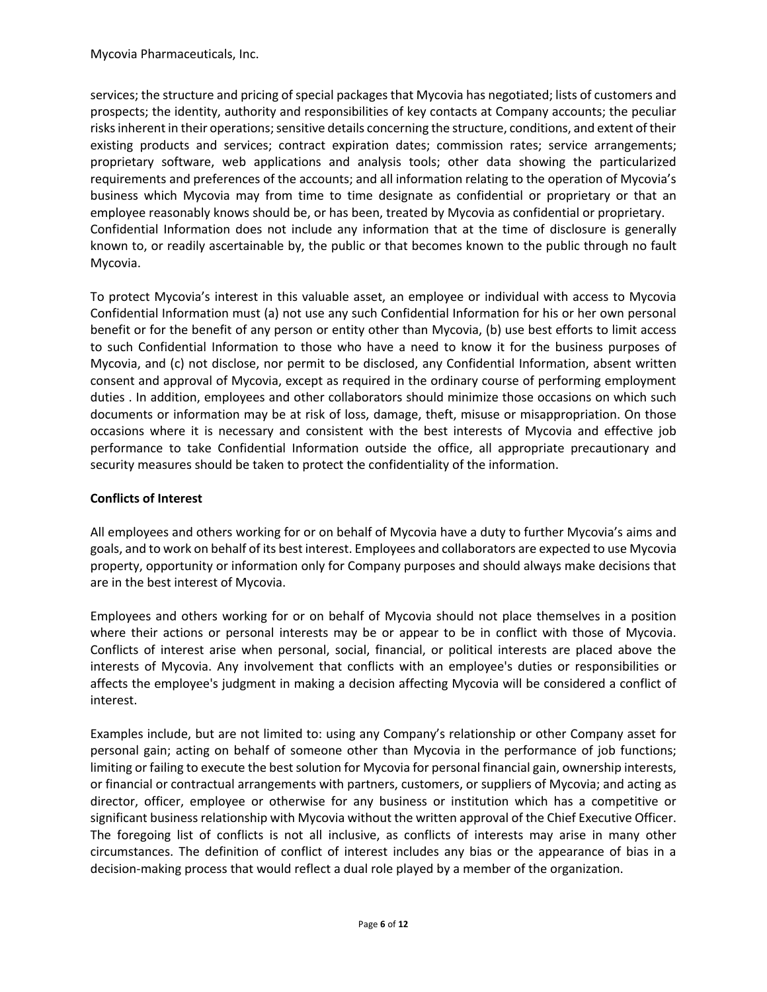services; the structure and pricing of special packages that Mycovia has negotiated; lists of customers and prospects; the identity, authority and responsibilities of key contacts at Company accounts; the peculiar risks inherent in their operations; sensitive details concerning the structure, conditions, and extent of their existing products and services; contract expiration dates; commission rates; service arrangements; proprietary software, web applications and analysis tools; other data showing the particularized requirements and preferences of the accounts; and all information relating to the operation of Mycovia's business which Mycovia may from time to time designate as confidential or proprietary or that an employee reasonably knows should be, or has been, treated by Mycovia as confidential or proprietary. Confidential Information does not include any information that at the time of disclosure is generally known to, or readily ascertainable by, the public or that becomes known to the public through no fault Mycovia.

To protect Mycovia's interest in this valuable asset, an employee or individual with access to Mycovia Confidential Information must (a) not use any such Confidential Information for his or her own personal benefit or for the benefit of any person or entity other than Mycovia, (b) use best efforts to limit access to such Confidential Information to those who have a need to know it for the business purposes of Mycovia, and (c) not disclose, nor permit to be disclosed, any Confidential Information, absent written consent and approval of Mycovia, except as required in the ordinary course of performing employment duties . In addition, employees and other collaborators should minimize those occasions on which such documents or information may be at risk of loss, damage, theft, misuse or misappropriation. On those occasions where it is necessary and consistent with the best interests of Mycovia and effective job performance to take Confidential Information outside the office, all appropriate precautionary and security measures should be taken to protect the confidentiality of the information.

## **Conflicts of Interest**

All employees and others working for or on behalf of Mycovia have a duty to further Mycovia's aims and goals, and to work on behalf of its best interest. Employees and collaborators are expected to use Mycovia property, opportunity or information only for Company purposes and should always make decisions that are in the best interest of Mycovia.

Employees and others working for or on behalf of Mycovia should not place themselves in a position where their actions or personal interests may be or appear to be in conflict with those of Mycovia. Conflicts of interest arise when personal, social, financial, or political interests are placed above the interests of Mycovia. Any involvement that conflicts with an employee's duties or responsibilities or affects the employee's judgment in making a decision affecting Mycovia will be considered a conflict of interest.

Examples include, but are not limited to: using any Company's relationship or other Company asset for personal gain; acting on behalf of someone other than Mycovia in the performance of job functions; limiting or failing to execute the best solution for Mycovia for personal financial gain, ownership interests, or financial or contractual arrangements with partners, customers, or suppliers of Mycovia; and acting as director, officer, employee or otherwise for any business or institution which has a competitive or significant business relationship with Mycovia without the written approval of the Chief Executive Officer. The foregoing list of conflicts is not all inclusive, as conflicts of interests may arise in many other circumstances. The definition of conflict of interest includes any bias or the appearance of bias in a decision-making process that would reflect a dual role played by a member of the organization.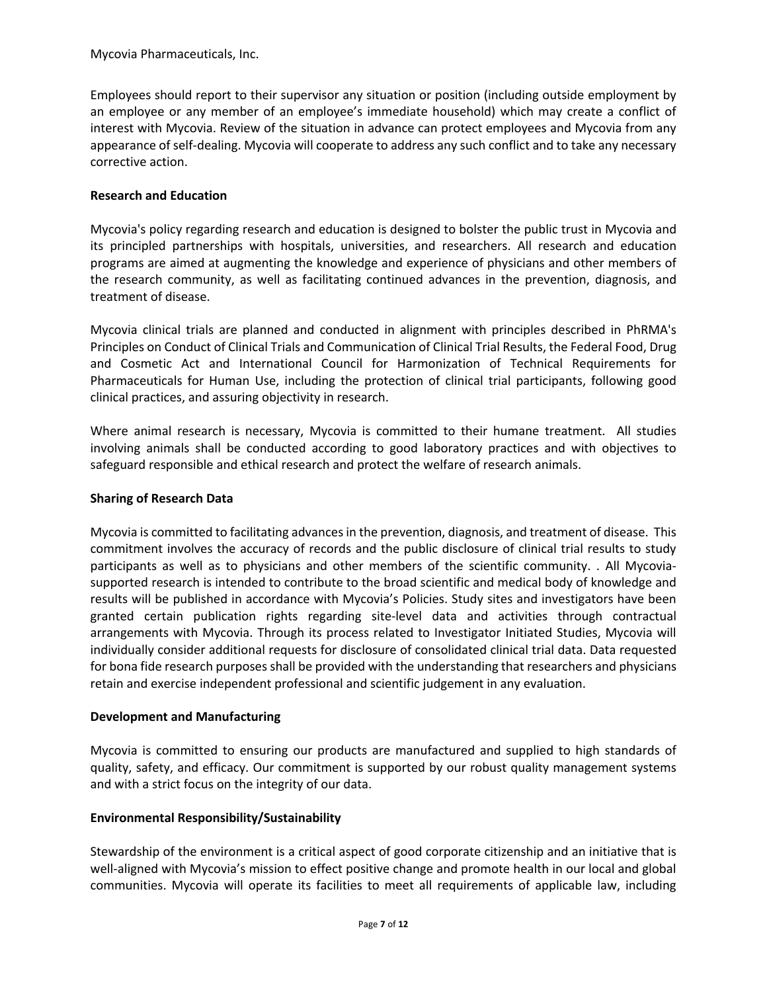Employees should report to their supervisor any situation or position (including outside employment by an employee or any member of an employee's immediate household) which may create a conflict of interest with Mycovia. Review of the situation in advance can protect employees and Mycovia from any appearance of self-dealing. Mycovia will cooperate to address any such conflict and to take any necessary corrective action.

## **Research and Education**

Mycovia's policy regarding research and education is designed to bolster the public trust in Mycovia and its principled partnerships with hospitals, universities, and researchers. All research and education programs are aimed at augmenting the knowledge and experience of physicians and other members of the research community, as well as facilitating continued advances in the prevention, diagnosis, and treatment of disease.

Mycovia clinical trials are planned and conducted in alignment with principles described in PhRMA's Principles on Conduct of Clinical Trials and Communication of Clinical Trial Results, the Federal Food, Drug and Cosmetic Act and International Council for Harmonization of Technical Requirements for Pharmaceuticals for Human Use, including the protection of clinical trial participants, following good clinical practices, and assuring objectivity in research.

Where animal research is necessary, Mycovia is committed to their humane treatment. All studies involving animals shall be conducted according to good laboratory practices and with objectives to safeguard responsible and ethical research and protect the welfare of research animals.

## **Sharing of Research Data**

Mycovia is committed to facilitating advances in the prevention, diagnosis, and treatment of disease. This commitment involves the accuracy of records and the public disclosure of clinical trial results to study participants as well as to physicians and other members of the scientific community. . All Mycoviasupported research is intended to contribute to the broad scientific and medical body of knowledge and results will be published in accordance with Mycovia's Policies. Study sites and investigators have been granted certain publication rights regarding site-level data and activities through contractual arrangements with Mycovia. Through its process related to Investigator Initiated Studies, Mycovia will individually consider additional requests for disclosure of consolidated clinical trial data. Data requested for bona fide research purposes shall be provided with the understanding that researchers and physicians retain and exercise independent professional and scientific judgement in any evaluation.

## **Development and Manufacturing**

Mycovia is committed to ensuring our products are manufactured and supplied to high standards of quality, safety, and efficacy. Our commitment is supported by our robust quality management systems and with a strict focus on the integrity of our data.

## **Environmental Responsibility/Sustainability**

Stewardship of the environment is a critical aspect of good corporate citizenship and an initiative that is well-aligned with Mycovia's mission to effect positive change and promote health in our local and global communities. Mycovia will operate its facilities to meet all requirements of applicable law, including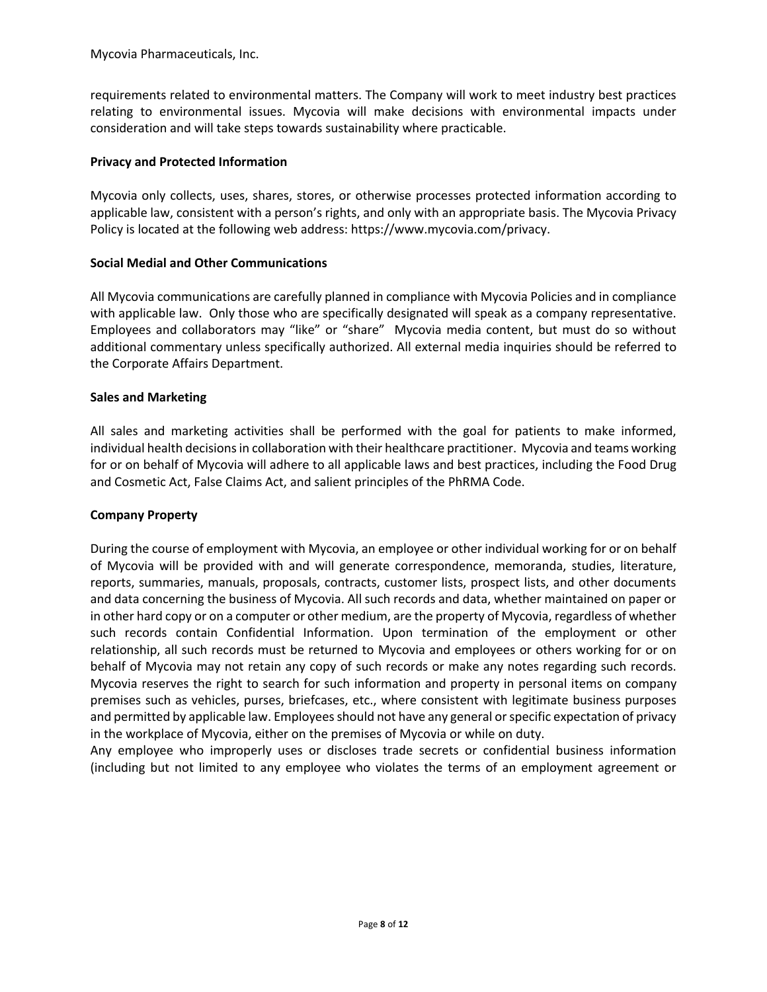requirements related to environmental matters. The Company will work to meet industry best practices relating to environmental issues. Mycovia will make decisions with environmental impacts under consideration and will take steps towards sustainability where practicable.

## **Privacy and Protected Information**

Mycovia only collects, uses, shares, stores, or otherwise processes protected information according to applicable law, consistent with a person's rights, and only with an appropriate basis. The Mycovia Privacy Policy is located at the following web address: https://www.mycovia.com/privacy.

## **Social Medial and Other Communications**

All Mycovia communications are carefully planned in compliance with Mycovia Policies and in compliance with applicable law. Only those who are specifically designated will speak as a company representative. Employees and collaborators may "like" or "share" Mycovia media content, but must do so without additional commentary unless specifically authorized. All external media inquiries should be referred to the Corporate Affairs Department.

## **Sales and Marketing**

All sales and marketing activities shall be performed with the goal for patients to make informed, individual health decisions in collaboration with their healthcare practitioner. Mycovia and teams working for or on behalf of Mycovia will adhere to all applicable laws and best practices, including the Food Drug and Cosmetic Act, False Claims Act, and salient principles of the PhRMA Code.

## **Company Property**

During the course of employment with Mycovia, an employee or other individual working for or on behalf of Mycovia will be provided with and will generate correspondence, memoranda, studies, literature, reports, summaries, manuals, proposals, contracts, customer lists, prospect lists, and other documents and data concerning the business of Mycovia. All such records and data, whether maintained on paper or in other hard copy or on a computer or other medium, are the property of Mycovia, regardless of whether such records contain Confidential Information. Upon termination of the employment or other relationship, all such records must be returned to Mycovia and employees or others working for or on behalf of Mycovia may not retain any copy of such records or make any notes regarding such records. Mycovia reserves the right to search for such information and property in personal items on company premises such as vehicles, purses, briefcases, etc., where consistent with legitimate business purposes and permitted by applicable law. Employees should not have any general or specific expectation of privacy in the workplace of Mycovia, either on the premises of Mycovia or while on duty.

Any employee who improperly uses or discloses trade secrets or confidential business information (including but not limited to any employee who violates the terms of an employment agreement or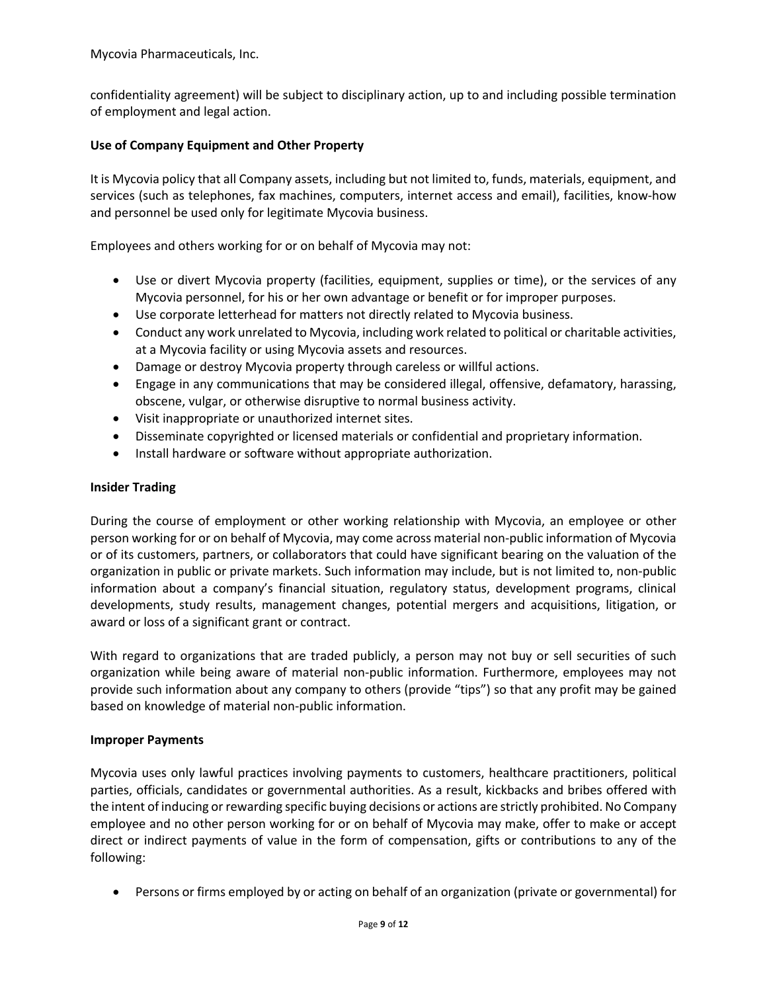confidentiality agreement) will be subject to disciplinary action, up to and including possible termination of employment and legal action.

## **Use of Company Equipment and Other Property**

It is Mycovia policy that all Company assets, including but not limited to, funds, materials, equipment, and services (such as telephones, fax machines, computers, internet access and email), facilities, know-how and personnel be used only for legitimate Mycovia business.

Employees and others working for or on behalf of Mycovia may not:

- Use or divert Mycovia property (facilities, equipment, supplies or time), or the services of any Mycovia personnel, for his or her own advantage or benefit or for improper purposes.
- Use corporate letterhead for matters not directly related to Mycovia business.
- Conduct any work unrelated to Mycovia, including work related to political or charitable activities, at a Mycovia facility or using Mycovia assets and resources.
- Damage or destroy Mycovia property through careless or willful actions.
- Engage in any communications that may be considered illegal, offensive, defamatory, harassing, obscene, vulgar, or otherwise disruptive to normal business activity.
- Visit inappropriate or unauthorized internet sites.
- Disseminate copyrighted or licensed materials or confidential and proprietary information.
- Install hardware or software without appropriate authorization.

## **Insider Trading**

During the course of employment or other working relationship with Mycovia, an employee or other person working for or on behalf of Mycovia, may come across material non-public information of Mycovia or of its customers, partners, or collaborators that could have significant bearing on the valuation of the organization in public or private markets. Such information may include, but is not limited to, non-public information about a company's financial situation, regulatory status, development programs, clinical developments, study results, management changes, potential mergers and acquisitions, litigation, or award or loss of a significant grant or contract.

With regard to organizations that are traded publicly, a person may not buy or sell securities of such organization while being aware of material non-public information. Furthermore, employees may not provide such information about any company to others (provide "tips") so that any profit may be gained based on knowledge of material non-public information.

## **Improper Payments**

Mycovia uses only lawful practices involving payments to customers, healthcare practitioners, political parties, officials, candidates or governmental authorities. As a result, kickbacks and bribes offered with the intent of inducing or rewarding specific buying decisions or actions are strictly prohibited. No Company employee and no other person working for or on behalf of Mycovia may make, offer to make or accept direct or indirect payments of value in the form of compensation, gifts or contributions to any of the following:

• Persons or firms employed by or acting on behalf of an organization (private or governmental) for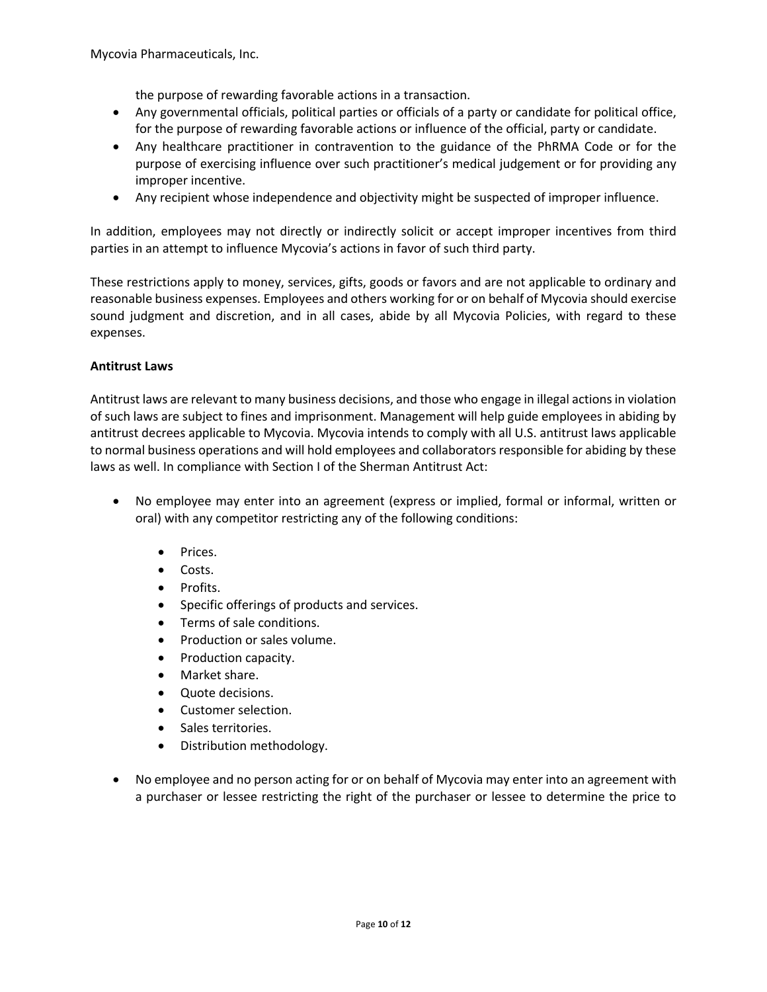the purpose of rewarding favorable actions in a transaction.

- Any governmental officials, political parties or officials of a party or candidate for political office, for the purpose of rewarding favorable actions or influence of the official, party or candidate.
- Any healthcare practitioner in contravention to the guidance of the PhRMA Code or for the purpose of exercising influence over such practitioner's medical judgement or for providing any improper incentive.
- Any recipient whose independence and objectivity might be suspected of improper influence.

In addition, employees may not directly or indirectly solicit or accept improper incentives from third parties in an attempt to influence Mycovia's actions in favor of such third party.

These restrictions apply to money, services, gifts, goods or favors and are not applicable to ordinary and reasonable business expenses. Employees and others working for or on behalf of Mycovia should exercise sound judgment and discretion, and in all cases, abide by all Mycovia Policies, with regard to these expenses.

## **Antitrust Laws**

Antitrust laws are relevant to many business decisions, and those who engage in illegal actions in violation of such laws are subject to fines and imprisonment. Management will help guide employees in abiding by antitrust decrees applicable to Mycovia. Mycovia intends to comply with all U.S. antitrust laws applicable to normal business operations and will hold employees and collaborators responsible for abiding by these laws as well. In compliance with Section I of the Sherman Antitrust Act:

- No employee may enter into an agreement (express or implied, formal or informal, written or oral) with any competitor restricting any of the following conditions:
	- Prices.
	- Costs.
	- Profits.
	- Specific offerings of products and services.
	- Terms of sale conditions.
	- Production or sales volume.
	- Production capacity.
	- Market share.
	- Quote decisions.
	- Customer selection.
	- Sales territories.
	- Distribution methodology.
- No employee and no person acting for or on behalf of Mycovia may enter into an agreement with a purchaser or lessee restricting the right of the purchaser or lessee to determine the price to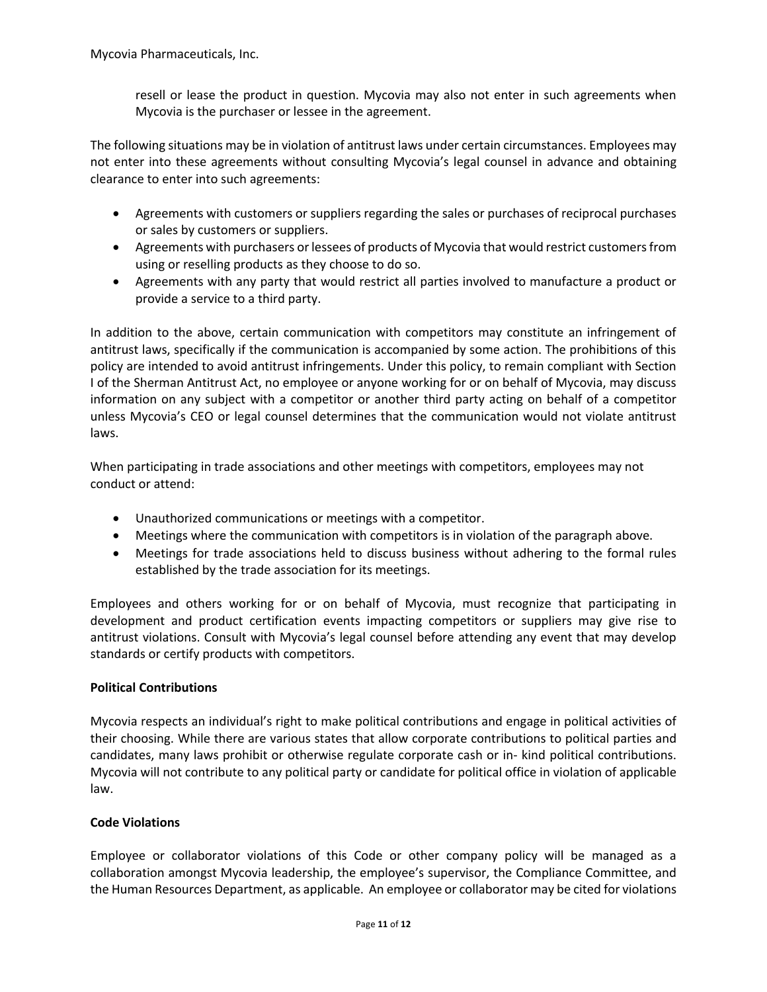resell or lease the product in question. Mycovia may also not enter in such agreements when Mycovia is the purchaser or lessee in the agreement.

The following situations may be in violation of antitrust laws under certain circumstances. Employees may not enter into these agreements without consulting Mycovia's legal counsel in advance and obtaining clearance to enter into such agreements:

- Agreements with customers or suppliers regarding the sales or purchases of reciprocal purchases or sales by customers or suppliers.
- Agreements with purchasers or lessees of products of Mycovia that would restrict customers from using or reselling products as they choose to do so.
- Agreements with any party that would restrict all parties involved to manufacture a product or provide a service to a third party.

In addition to the above, certain communication with competitors may constitute an infringement of antitrust laws, specifically if the communication is accompanied by some action. The prohibitions of this policy are intended to avoid antitrust infringements. Under this policy, to remain compliant with Section I of the Sherman Antitrust Act, no employee or anyone working for or on behalf of Mycovia, may discuss information on any subject with a competitor or another third party acting on behalf of a competitor unless Mycovia's CEO or legal counsel determines that the communication would not violate antitrust laws.

When participating in trade associations and other meetings with competitors, employees may not conduct or attend:

- Unauthorized communications or meetings with a competitor.
- Meetings where the communication with competitors is in violation of the paragraph above.
- Meetings for trade associations held to discuss business without adhering to the formal rules established by the trade association for its meetings.

Employees and others working for or on behalf of Mycovia, must recognize that participating in development and product certification events impacting competitors or suppliers may give rise to antitrust violations. Consult with Mycovia's legal counsel before attending any event that may develop standards or certify products with competitors.

## **Political Contributions**

Mycovia respects an individual's right to make political contributions and engage in political activities of their choosing. While there are various states that allow corporate contributions to political parties and candidates, many laws prohibit or otherwise regulate corporate cash or in- kind political contributions. Mycovia will not contribute to any political party or candidate for political office in violation of applicable law.

## **Code Violations**

Employee or collaborator violations of this Code or other company policy will be managed as a collaboration amongst Mycovia leadership, the employee's supervisor, the Compliance Committee, and the Human Resources Department, as applicable. An employee or collaborator may be cited for violations